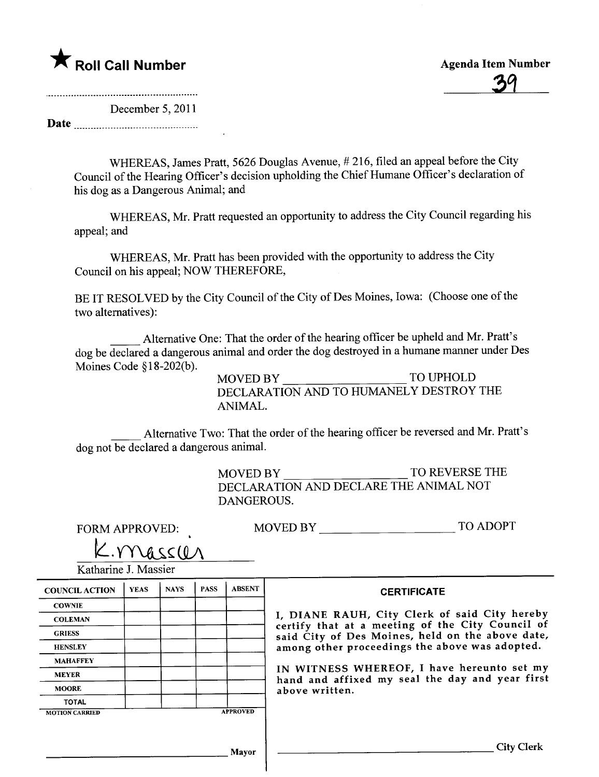### \* Roll Call Number Agenda Item Number

<u>39</u>

December 5, 2011

Date <u>musulmusuummuummuu</u>

WHEREAS, James Pratt, 5626 Douglas Avenue, # 216, fied an appeal before the City Council of the Hearing Officer's decision upholding the Chief Humane Officer's declaration of his dog as a Dangerous Animal; and

WHEREAS, Mr. Pratt requested an opportunity to address the City Council regarding his appeal; and

WHEREAS, Mr. Pratt has been provided with the opportunity to address the City Council on his appeal; NOW THEREFORE,

BE IT RESOLVED by the City Council of the City of Des Moines, Iowa: (Choose one of the two alternatives):

\_ Alternative One: That the order of the hearing officer be upheld and Mr. Pratt's dog be declared a dangerous animal and order the dog destroyed in a humane maner under Des

Moines Code §18-202(b).<br>MOVED BY TO UPHOLD DECLARATION AND TO HUMANELY DESTROY THE ANIMAL.

\_ Alternative Two: That the order of the hearing officer be reversed and Mr. Pratt's dog not be declared a dangerous animaL.

> MOVED BY TO REVERSE THE DECLARATION AND DECLARE THE ANIMAL NOT DANGEROUS.

FORM APPROVED:

| <b>TO ADOPT</b><br><b>MOVED BY</b> |
|------------------------------------|
|------------------------------------|

 $K.$  mass  $U_A$ Katharine J. Massier

| <b>COUNCIL ACTION</b> | <b>YEAS</b> | <b>NAYS</b> | <b>PASS</b> | <b>ABSENT</b>   |
|-----------------------|-------------|-------------|-------------|-----------------|
| <b>COWNIE</b>         |             |             |             |                 |
| <b>COLEMAN</b>        |             |             |             |                 |
| <b>GRIESS</b>         |             |             |             |                 |
| <b>HENSLEY</b>        |             |             |             |                 |
| <b>MAHAFFEY</b>       |             |             |             |                 |
| <b>MEYER</b>          |             |             |             |                 |
| <b>MOORE</b>          |             |             |             |                 |
| <b>TOTAL</b>          |             |             |             |                 |
| <b>MOTION CARRIED</b> |             |             |             | <b>APPROVED</b> |

**CERTIFICATE** 

DIANE RAUH, City Clerk of said City hereby rtify that at a meeting of the City Council of id City of Des Moines, held on the above date, hong other proceedings the above was adopted.

WITNESS WHEREOF, I have hereunto set my hand and affixed my seal the day and year first ove written.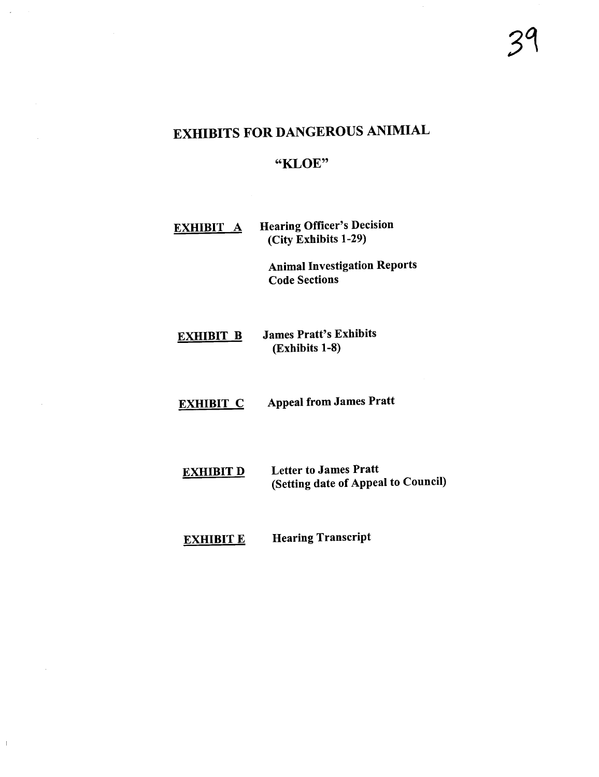### EXHIBITS FOR DANGEROUS ANIMIAL

#### "KLOE"

#### EXHIBIT A Hearing Officer's Decision (City Exhibits 1-29)

Animal Investigation Reports Code Sections

#### EXHIBIT B James Pratt's Exhibits (Exhibits 1-8)

EXHIBIT C Appeal from James Pratt

**EXHIBIT D** Letter to James Pratt (Setting date of Appeal to Council)

#### EXHIBIT E Hearing Transcript

 $\,$   $\,$   $\,$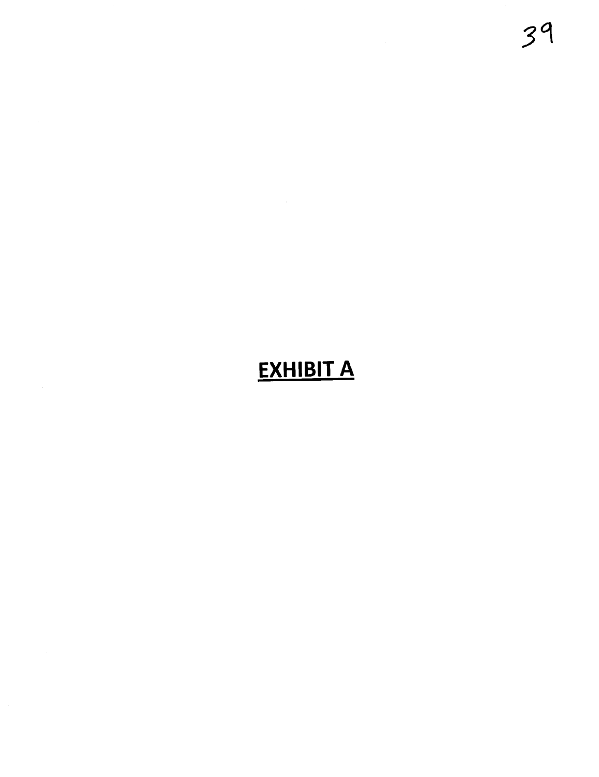### **EXHIBIT A**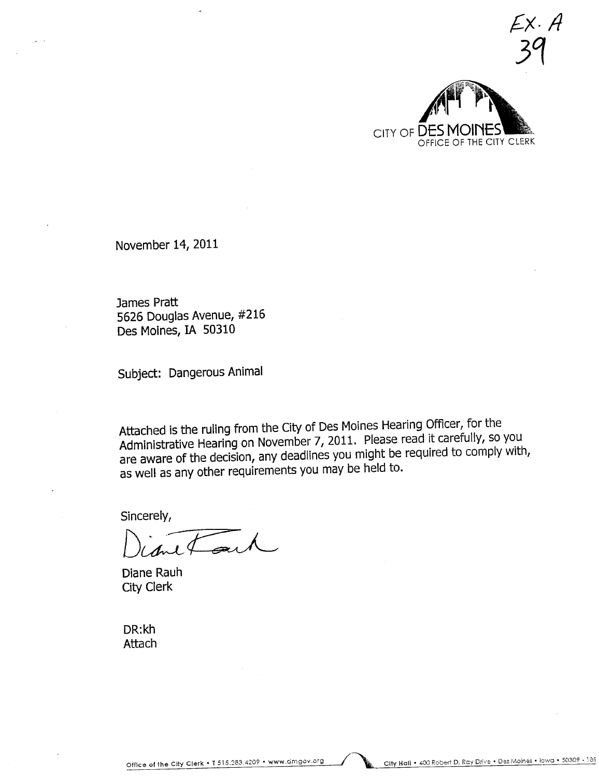$34$ CITY OF DESI OFFICE OF THE CITY CLERK

 $EX. A$ 

November 14, 2011

James Pratt 5626 Douglas Avenue, #216 Des Moines, IA 50310

Subject: Dangerous Animal

Attached is the ruling from the City of Des Moines Hearing Officer, for the Administrative Hearing on November 7, 2011. Please read it carefully, so you are aware of the decision, any deadlines you might be required to comply with, as well as any other requirements you may be held to.

Sincerely,

Diane Rauh City Clerk

DR:kh Attach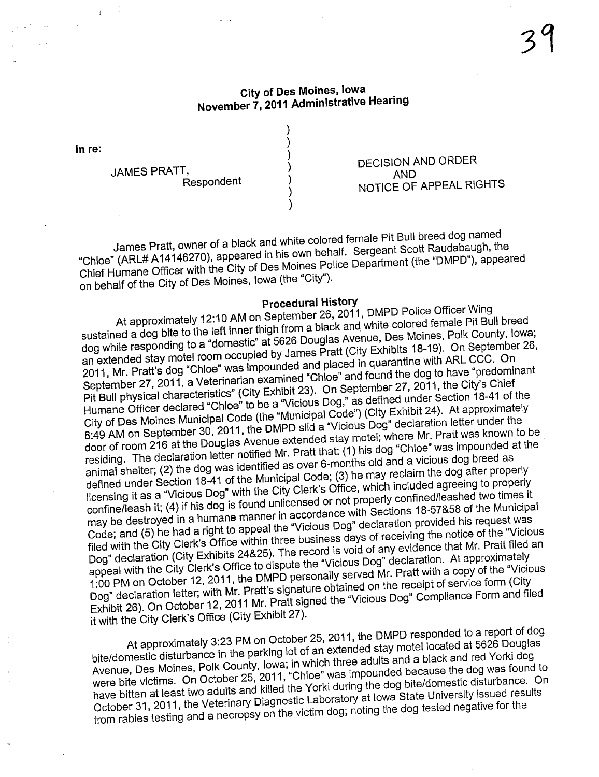#### City of Des Moines, Iowa November 7, 2011 Administrative Hearing

) ) ) ) ) ) )

In re:

JAMES PRATT, Respondent

DECISION AND ORDER AND NOTICE OF APPEAL RIGHTS

James Pratt, owner of a black and white colored female Pit Bull breed dog named "Chloe" (ARL# A14146270), appeared in his own behalf. Sergeant Scott Raudabaugh, the Chief Humane Officer with the City of Des Moines Police Department (the "DMPD"), appeared on behalf of the City of Des Moines, Iowa (the "City").

#### Procedural History

At approximately 12:10 AM on September 26, 2011, DMPD Police Officer Wing sustained a dog bite to the left inner thigh from a black and white colored female Pit Bull breed dog while responding to a "domestic" at 5626 Douglas Avenue, Des Moines, Polk County, Iowa; an extended stay motel room occupied by James Pratt (City Exhibits 18-19). On September 26, 2011, Mr. Pratt's dog "Chloe" was impounded and placed in quarantine with ARL CCC. On September 27, 2011, a Veterinarian examined "Chloe" and found the dog to have "predominant<br>Pit Bull physical characteristics" (City Exhibit 23). On September 27, 2011, the City's Chief<br>Humane Officer declared "Chloe" to be Pit Bull physical characteristics" (City Exhibit 23). On September 27, 2011, the City's Chief Humane Officer declared "Childe" to be a "Nunicipal Code") (City Exhibit 24). At approximately City of Des Moines Municipal Code (the mailing Code of The "Vicious Dog" declaration letter under the 8:49 AM on September 30, 2011, the DMPD slid a "Vicious Dog" declaration letter under the door of room 216 at the Douglas Avenue extended stay motel; where Mr. Pratt was known to be residing. The declaration letter notified Mr. Pratt that: (1) his dog "Chloe" was impounded at the animal shelter; (2) the dog was identified as over 6-months old and a vicious dog breed as defined under Section 18-41 of the Municipal Code; (3) he may reclaim the dog after properly licensing it as a "Vicious Dog" with the City Clerk's Office, which included agreeing to properly confine/leash it; (4) if his dog is found unlicensed or not properly confined/leashed two times it may be destroyed in a humane manner in accordance with Sections 18-57&58 of the Municipal Code; and (5) he had a right to appeal the "Vicious Dog" declaration provided his request was filed with the City Clerk's Office within three business days of receiving the notice of the "Vicious Dog" declaration (City Exhibits 24&25). The record is void of any evidence that Mr. Pratt fied an appeal with the City Clerk's Office to dispute the "Vicious Dog" declaration. At approximately 1 :00 PM on October 12,2011, the DMPD personally served Mr. Pratt with a copy of the "Vicious Dog" declaration letter; with Mr. Pratt's signature obtained on the receipt of service form (City Exhibit 26). On October 12,2011 Mr. Pratt signed the "Vicious Dog" Compliance Form and filed it with the City Clerk's Office (City Exhibit 27).

At approximately 3:23 PM on October 25, 2011, the stay motel located at 5626 Douglas bite/domestic disturbance in the parking lot of an extended stay motel located at 5626 Douglas Avenue, Des Moines, Polk County, Iowa; in which three adults and a black and red Yorki dog were bite victims. On October 25, 2011, "Chloe" was impounded because the dog was found to have bitten at least two adults and kiled the Yorki during the dog bite/domestic disturbance. On October 31, 2011, the Veterinary Diagnostic Laboratory at Iowa State University issued results from rabies testing and a necropsy on the victim dog; noting the dog tested negative for the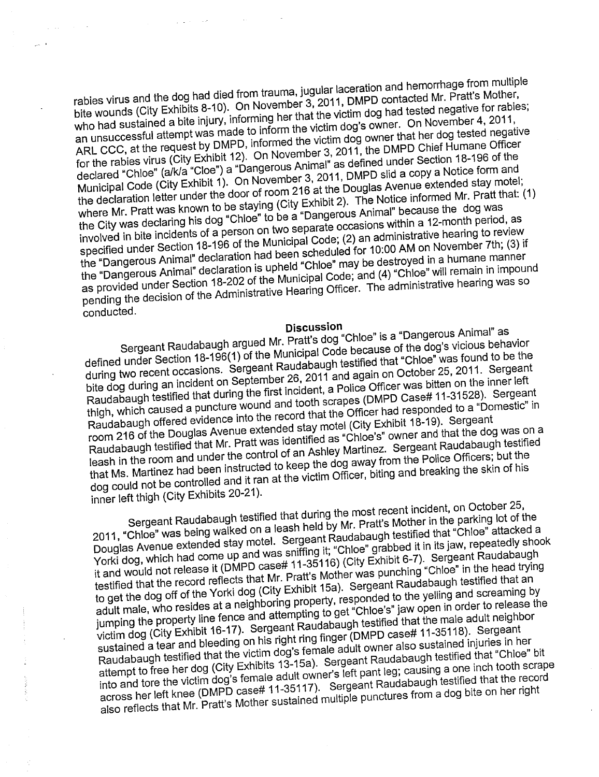rabies virus and the dog had died from trauma, jugular laceration and hemorrhage from multiple bite wounds (City Exhibits 8-10). On November 3,2011, DMPD contacted Mr. Pratt's Mother, who had sustained a bite injury, informing her that the victim dog had tested negative for rabies; and the coordinate a single informed to inform the victim dog's owner. On November 4, 2011, an unsuccessful attempt was made to inform the victim dog's owner. On November 4, 2011, ARL CCC, at the request by DMPD, informed the victim dog owner that her dog tested negative for the rabies virus (City Exhibit 12). On November 3,2011, the DMPD Chief Humane Officer declared "Chloe" (alkla "Cloe") a "Dangerous Animal" as defined under Section 18-196 of the Municipal Code (City Exhibit 1). On November 3, 2011, DMPD slid a copy a Notice form and the declaration letter under the door of room 216 at the Douglas Avenue extended stay motel; where Mr. Pratt was known to be staying (City Exhibit 2). The Notice informed Mr. Pratt that: (1) where Mr. Pratt that: (1) the City was declaring his dog "Chloe" to be a "Dangerous Animal" because the dog was involved in bite incidents of a person on two separate occasions within a 12-month period, as involved in bite incidents of a person on two separate occasions within a 12-month period, as specified under Section 18-196 of the Municipal Code; (2) an administrative hearing to review the "Dangerous Animal" declaration had been scheduled for 10:00 AM on November 7th; (3) if the "Dangerous Animal" declaration is upheld "Chloe" may be destroyed in a humane manner and paragonous rummar abonation is applied under the many section of the Municipal Code; and (4) "Chloe" will remain in impound processes and our content of the Administrative Hearing Officer. The administrative hearing was so pending the decision of the Administrative Hearing Officer. The administrative hearing was so conducted.

#### Discussion

Sergeant Raudabaugh argued Mr. Pratticipal Code because of the dog's vicious Delivery  $u$ definition ander Section 18-1966 the Municipal Code because of the dog's vicious behavior during two recent occasions. Sergeant Raudabaugh testified that "Chloe" was found to be the bite dog during an incident on September 26, 2011 and again on October 25, 2011. Sergeant Raudabaugh testified that during the first incident, a Police Officer was bitten on the inner left thigh, which caused a puncture wound and tooth scrapes (DMPD Case# 11-31528). Sergeant angin mission serves a person of the record that the Officer had responded to a "Domestic" in Raudabaugh offered evidence into the record that the Officer had responded to a "Domestic" in room 216 of the Douglas Avenue extended stay motel (City Exhibit 18-19). Sergeant Raudabaugh testified that Mr. Pratt was identified as "Chloe's" owner and that the dog was on a leash in the room and under the control of an Ashley Martinez. Sergeant Raudabaugh testified that Ms. Martinez had been instructed to keep the dog away from the Police Officers; but the dog could not be controlled and it ran at the victim Officer, biting and breaking the skin of his inner left thigh (City Exhibits 20-21).

Sergeant Raudabaugh testified that during the most recent incident, on October 25, 2011, "Chloe" was being walked on a leash held by Mr. Pratt's Mother in the parking lot of the Douglas Avenue extended stay motel. Sergeant Raudabaugh testified that "Chloe" attacked a Yorki dog, which had come up and was sniffng it; "Chloe" grabbed it in its jaw, repeatedly shook it and would not release it (DMPD case# 11-35116) (City Exhibit 6-7). Sergeant Raudabaugh testified that the record reflects that Mr. Pratt's Mother was punching "Chloe" in the head trying to get the dog off of the Yorki dog (City Exhibit 15a). Sergeant Raudabaugh testified that an adult male, who resides at a neighboring property, responded to the yelling and screaming by adult male, who resides at a neighboring property, responded to the yelling and screaming by down many, who reduce an a neighboring property, respectively to any stimulation order to release the jumping the property line fence and attempting to get "Chloe's" jaw open in order to release the victim dog (City Exhibit 16-17). Sergeant Raudabaugh testified that the male adult neighbor sustained a tear and bleeding on his right ring finger (DMPD case# 11-35118). Sergeant Raudabaugh testified that the victim dog's female adult owner also sustained injuries in her attempt to free her dog (City Exhibits 13-15a). Sergeant Raudabaugh testified that "Chloe" bit into and tore the victim dog's female adult owner's left pant leg; causing a one inch tooth scrape across her left knee (DMPD case# 11-35117). Sergeant Raudabaugh testified that the record also reflects that Mr. Pratt's Mother sustained multiple punctures from a dog bite on her right also reflects that Mr. Pratt's Mother sustained multiple punctures from a dog bite on her right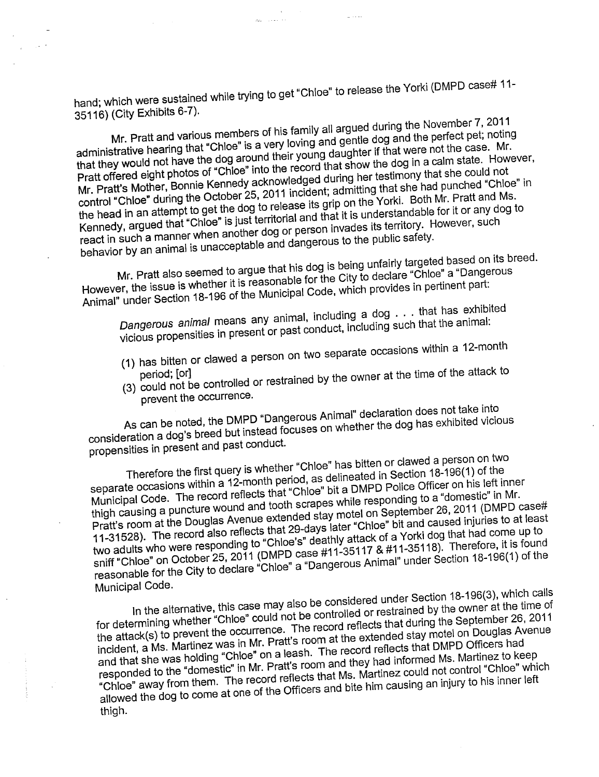hand; which were sustained while trying to get "Chloe" to release the Yorki (DMPD case# 11-35116) (City Exhibits 6-7).

المتحدث الهيا

Mr. Pratt and various members of his family all argued during the November 7, 2011 administrative hearing that "Chloe" is a very loving and gentle dog and the perfect pet; noting administrative hearing that "Chloe" is a very loving and gentle dog and the perfect pet; noting that they would not have the dog around their young daughter if that were not the case. Mr. and and y would not have are dog around and young dudgment in and were not are duse. I'm .<br>Pratt offered eight photos of "Chloe" into the record that show the dog in a calm state. However, Mr. Pratt's Mother, Bonnie Kennedy acknowledged during her testimony that she could not control "Chloe" during the October 25, 2011 incident; admitting that she had punched "Chloe" in the head in an attempt to get the dog to release its grip on the Yorki. Both Mr. Pratt and Ms. Kennedy, argued that "Chloe" is just territorial and that it is understandable for it or any dog to react in such a manner when another dog or person invades its territory. However, such react in such a manner when another dog or person invades its territory. However, such behavior by an animal is unacceptable and dangerous to the public safety.

Mr. Pratt also seemed to argue that his dog is being unfairly targeted based on its breed. However, the issue is whether it is reasonable for the City to declare "Chloe" a "Dangerous Animal" under Section 18-196 of the Municipal Code, which provides in pertinent part:

Dangerous animal means any animal, including a dog . . . that has exhibited vicious propensities in present or past conduct, including such that the animal:<br>(1) has bitten or clawed a person on two separate occasions within a 12-month

- 
- (1) has bitten or clawed a person on two separate occasions with a  $12-12-12-12-12$
- period; (orl  $(3)$  could not be controlled  $\frac{1}{2}$ prevent the occurrence.

As can be noted, the DMPD "Dangerous Animal" declaration does not take into consideration a dog's breed but instead focuses on whether the dog has exhibited vicious propensities in present and past conduct.

Therefore the first query is whether "Chloe" has bitten or clawed a person on two separate occasions within a 12-month period, as delineated in Section 18-196(1) of the Municipal Code. The record reflects that "Chloe" bit a DMPD police Officer on his left inner thigh causing a puncture wound and tooth scrapes while responding to a "domestic" in Mr. Pratt's room at the Douglas Avenue extended stay motel on September 26, 2011 (DMPD case# 11-31528). The record also reflects that 29-days later "Chloe" bit and caused injuries to at least two adults who were responding to "Chloe's" deathly attack of a Yorki dog that had come up to wo addits who was not contributed to the Decision of the control of the sniff "Chloe" on October 25, 2011 (DMPD case #11-35117  $\alpha$  #11-35118). Therefore, it is shall be shall be shall be shall be shall be shall be shall reasonable for the City to declare "Chloe" a "Dangerous Animal" under Section 18-196(1) of the Municipal Code.

In the alternative, this case may also be considered under Section 18-196(3), which calls for determining whether "Chloe" could not be controlled or restrained by the owner at the time of the attack(s) to prevent the occurrence. The record reflects that during the September 26, 2011 incident, a Ms. Martinez was in Mr. Pratt's room at the extended stay motel on Douglas Avenue incident, a Ms. Martinez was in Mr. Pratt's room at the extended stay motel on Douglas Avenue and that she was holding "Chloe" on a leash. The record reflects that DMPD Officers had responded to the "domestic" in Mr. Pratt's room and they had informed Ms. Martinez to keep "Chloe" away from them. The record reflects that Ms. Martinez could not control "Chloe" which allowed the dog to come at one of the Officers and bite him causing an injury to his inner left thigh.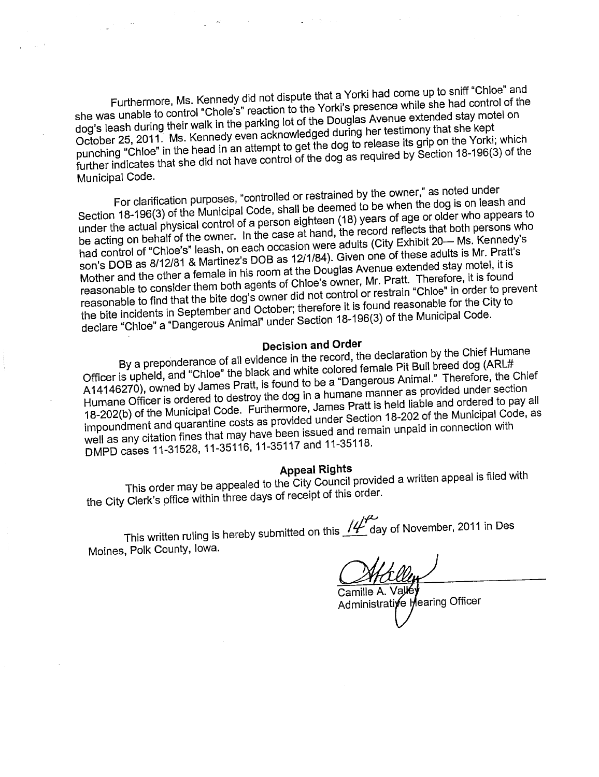Furthermore, Ms. Kennedy did not dispute that a Yorki had come up to sniff "Chloe" and she was unable to control "Chole's" reaction to the Touglas Avenue extended stay motel on dog's leash during their walk in the parking lot of the Douglas Are testimony that she kept October 25, 2011. Ms. Kennedy even acknowledged during her testimony that she kept punching "Chloe" in the head in an attempt to get the dog to release its grip on the Yorki; which further indicates that she did not have control of the dog as required by Section 18-196(3) of the Municipal Code.

For clarification purposes, "controlled or restrained by the owner," as noted under Section 18-196(3) of the Municipal Code, shall be deemed to be when the dog is on leash and under the actual physical control of a person eighteen (18) years of age or older who appears to be acting on behalf of the owner. under the actual physical control of a person eighteen (18) years of age or older who appears to had control of "Chloe's" leash, on each occasion were adults (City Exhibit 20- Ms. Kennedy's son's DOB as 8/12/81 & Martinez's DOB as 12/1/84). Given one of these adults is Mr. Pratt's son's DOB as  $8/12/81$   $\alpha$  maturicz's DOB as 12  $m$  of the Douglas Avenue extended stay motel, it is Mother and the other a female in his room at the Douglas Are. Mr. Pratt. Therefore, it is found reasonable to consider them both agents of Chloe's owner, Mr. Pratt. Therefore, it is found reasonable to find that the bite dog's owner did not control or restrain "Chloe" in order to prevent the bite incidents in September and October; therefore it is found reasonable for the City to declare "Chloe" a "Dangerous Animal" under Section 18-196(3) of the Municipal Code.

#### Decision and Order

By a preponderance of all evidence in the record, the color of Bull breed dog (ARL# Officer is upheld, and "Chloe" the black and white colored female Pit Bull breed dog (ARL# A14146270), owned by James Pratt, is found to be a "Dangerous AnimaL" Therefore, the Chief Humane Officer is ordered to destroy the dog in a humane manner as provided under section 18-202(b) of the Municipal Code. Furthermore, James Pratt is held liable and ordered to pay all impoundment and quarantine costs as provided under Section 18-202 of the Municipal Code, as well as any citation fines that may have been issued and remain unpaid in connection with DMPD cases 11-31528, 11-35116, 11-35117 and 11-35118.

#### Appeal Rights

This order may be appealed to the City Council provider the City Clerk's office within three days of receipt of this order.

This written ruling is hereby submitted on this  $I\sharp^{\prime\prime}$  day of November, 2011 in Des Moines, Polk County, Iowa.

Camille A. Administrative Mearing Officer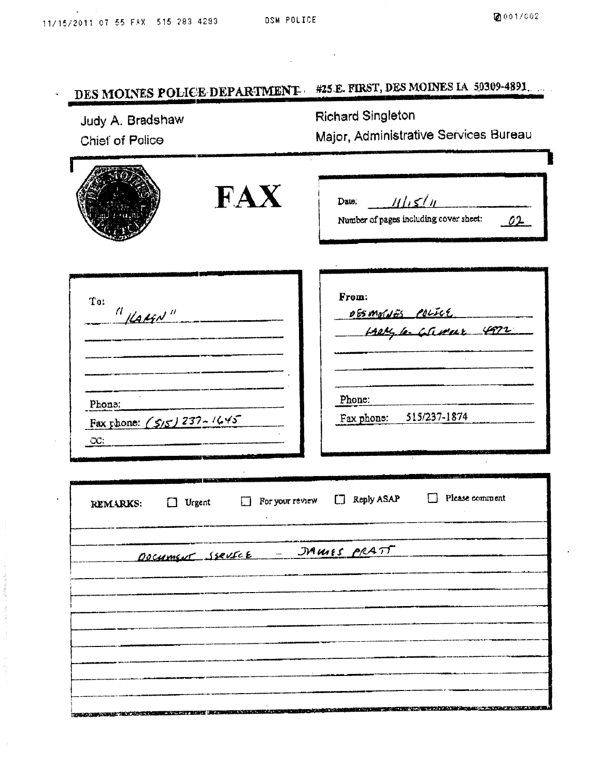1999年,1998年,1999年,1998年19月18日,1998年19月18日,1999年,1999年,1999年,1999年,1999年,1999年,1999年,1999年,1999年,1999

 $\label{eq:2.1} \frac{1}{\sqrt{2}}\int_{\mathbb{R}^3}\frac{1}{\sqrt{2}}\left(\frac{1}{\sqrt{2}}\right)^2\frac{1}{\sqrt{2}}\left(\frac{1}{\sqrt{2}}\right)^2\frac{1}{\sqrt{2}}\left(\frac{1}{\sqrt{2}}\right)^2\frac{1}{\sqrt{2}}\left(\frac{1}{\sqrt{2}}\right)^2.$ 

 $\mathcal{A}^{\mathcal{A}}$ 

| Judy A. Bradshaw<br>Chief of Police                                     | DES MOINES POLICE DEPARTMENT<br><b>Richard Singleton</b><br>Major, Administrative Services Bureau |  |  |  |  |  |
|-------------------------------------------------------------------------|---------------------------------------------------------------------------------------------------|--|--|--|--|--|
| FAX                                                                     | 111.514<br>Date:<br>Number of pages including cover sheet:<br>02                                  |  |  |  |  |  |
| To:<br>$^{\prime\prime}$ Katsn"                                         | From:<br><u>065 moldes Police</u><br>- Laely le-Gameur 4972                                       |  |  |  |  |  |
| Phone:<br>Fax phone: (5/5) 237-1645<br>CC:                              | Phone:<br>Fax phone: 515/237-1874                                                                 |  |  |  |  |  |
| For your review<br>Urgent<br>REMARKS:<br>DOCUMENT SERVICE - JAMES PRATT | Please comment<br>Reply ASAP                                                                      |  |  |  |  |  |
|                                                                         |                                                                                                   |  |  |  |  |  |
|                                                                         |                                                                                                   |  |  |  |  |  |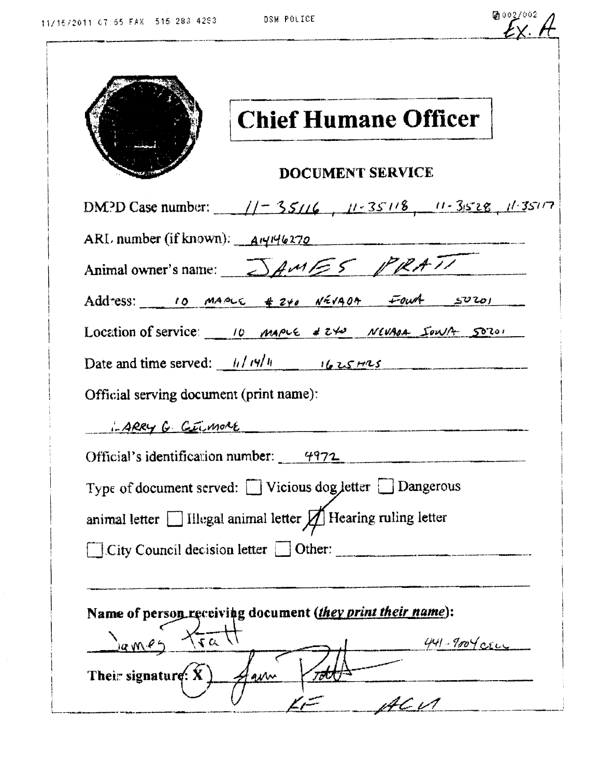| lĉ. | 0027002 |  |
|-----|---------|--|
|     |         |  |

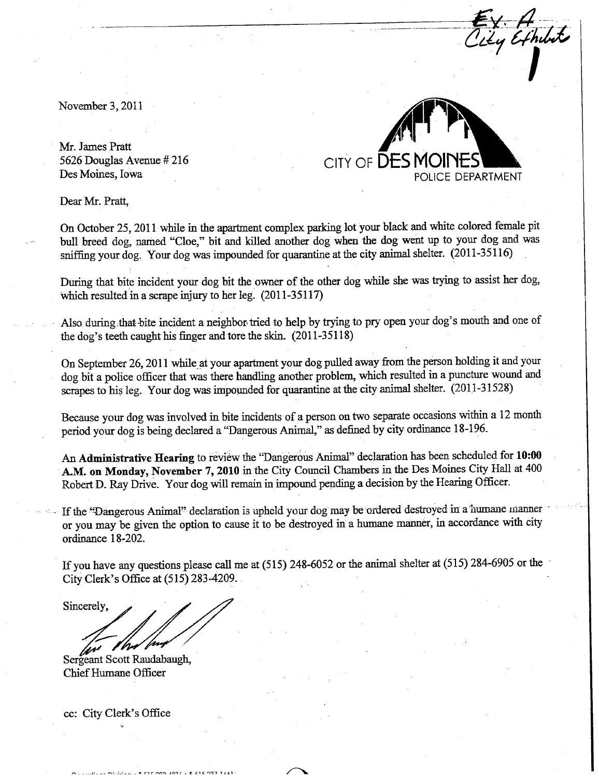November 3, 2011

Mr. James Pratt 5626 Douglas Avenue # 216 Des Moines, Iowa



 $E_{Y}$ .  $H_{U11}$ 

**/** 

Dear Mr. Pratt

On October 25, 2011 while in the apartment complex parking lot your black and white colored female pit bull breed dog, named "Cloe," bit and killed another dog when the dog went up to your dog and was sniffing your dog. Your dog was impounded for quarantine at the city animal shelter. (2011-35116)

During that bite incident your dog bit the owner of the other dog while she was trying to assist her dog, which resulted in a scrape injury to her leg.  $(2011-35117)$ 

Also during that bite incident a neighbor tried to help by trying to pry open your dog's mouth and one of the dog's teeth caught his finger and tore the skin.  $(2011-35118)$ 

On September 26, 2011 while at your apartment your dog pulled away from the person holding it and your dog bit a police officer that was there handling another problem, which resulted in a puncture wound and scrapes to his leg. Your dog was impounded for quarantine at the city animal shelter. (2011-31528)

Because your dog was involved in bite incidents of a person on two separate occasions within a 12 month period your dog is being declared a "Dangerous Animal," as defined by city ordinance 18-196.

An Administrative Hearing to review the "Dangerous Animal" declaration has been scheduled for 10:00 A.M. on Monday, November 7, 2010 in the City Council Chambers in the Des Moines City Hall at 400 Robert D. Ray Drive. Your dog will remain in impound pending a decision by the Hearing Officer.

If the "Dangerous Animal" declaration is upheld your dog may be ordered destroyed in a humane manner or you may be given the option to cause it to be destroyed in a humane maner, in accordace with city ordinance 18-202.

If you have any questions please call me at (515) 248-6052 or the animal shelter at (515) 284-6905 or the City Clerk's Office at  $(515)$  283-4209.

Sincerely,

Sergeant Scott Raudabaugh, Chief Humane Officer

cc: City Clerk's Office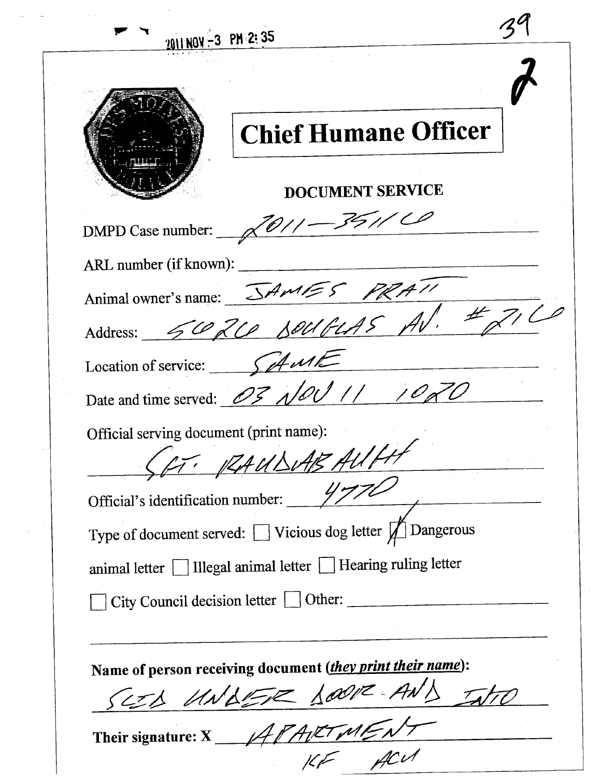|                                         | <b>Chief Humane Officer</b>                                         |
|-----------------------------------------|---------------------------------------------------------------------|
|                                         | <b>DOCUMENT SERVICE</b>                                             |
|                                         | DMPD Case number: $\sqrt{\frac{O}{1-\frac{36}{10}}}}$               |
|                                         | ARL number (if known):                                              |
|                                         |                                                                     |
|                                         | Animal owner's name: JAMES PRATI                                    |
| Location of service: $\int$             |                                                                     |
|                                         | Date and time served: 03 $\sqrt{QU}$ // /020                        |
| Official serving document (print name): |                                                                     |
|                                         | $\mathcal{L}$ and $\mathcal{L}$<br>· RAUDUAB                        |
| Official's identification number:       |                                                                     |
|                                         | Type of document served: $\Box$ Vicious dog letter $\Box$ Dangerous |
|                                         | animal letter Illegal animal letter I Hearing ruling letter         |
|                                         | City Council decision letter   Other:                               |
|                                         |                                                                     |
|                                         | Name of person receiving document (they print their name):          |
|                                         | SEED UNDER DOOR AN                                                  |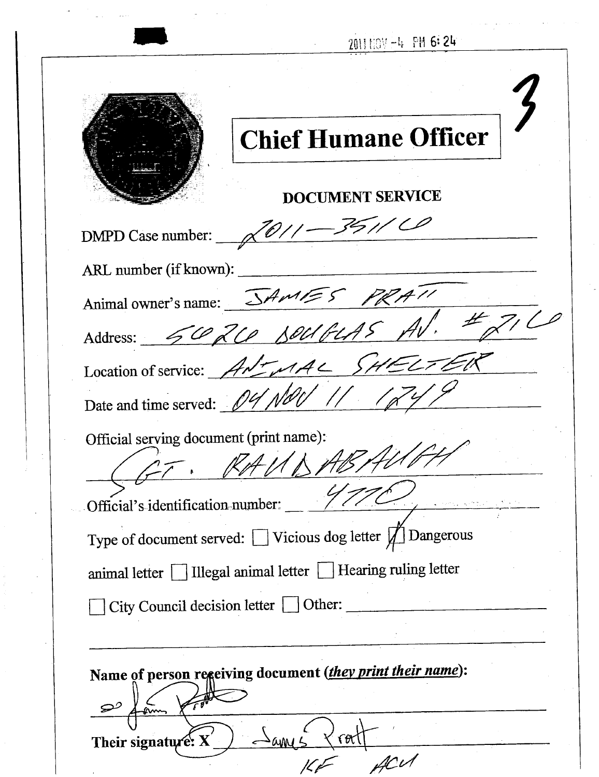2011110V-4 PM 6:24

| <b>Chief Humane Officer</b>                                         |
|---------------------------------------------------------------------|
| <b>DOCUMENT SERVICE</b>                                             |
| DMPD Case number: $\sqrt{\frac{O}{1-\frac{36}{10}}}}$               |
| ARL number (if known):                                              |
|                                                                     |
| Animal owner's name: SAMES PRATI                                    |
| ET EK<br>Location of service: ANTMAL SH                             |
| Date and time served: 04 NOU // 124                                 |
| Official serving document (print name):                             |
| Official's identification number: $\frac{1}{2}$                     |
| Type of document served: $\Box$ Vicious dog letter $\Box$ Dangerous |
| animal letter   Illegal animal letter   Hearing ruling letter       |
| City Council decision letter Other:                                 |
|                                                                     |
| Name of person regeiving document (they print their name):          |
| Their signature: $X'$<br>٢O                                         |
|                                                                     |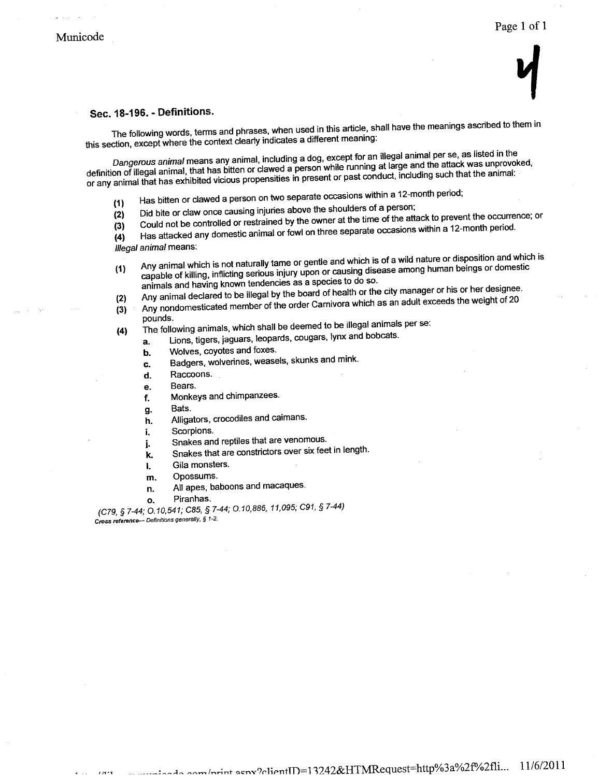# $\mathbf 7$

#### Sec. 18-196. - Definitions.

The following words, terms and phrases, when used in this article, shall have the meanings ascribed to them in this section, except where the context clearly indicates a diferent meaning:

Dangerous animal means any animal, including a dog, except for an ilegal animal per se, as listed in the definition of illegal animal, that has bitten or clawed a person while running at large and the attack was unprovoked, or any animal that has exhibited vicious propensities in present or past conduct, including such that the animal:<br>
(1) Has bitten or clawed a person on two separate occasions within a 12-month period;

- 
- (1) Has bitten or clawed a person on two separate occasions of a person;<br>(2) Did bite or claw once causing injuries above the shoulder time of the aff
- (3) Could not be controlled or restrained by the owner at the time of the attack to prevent the occurrence; or
- (3) Could not be controlled or restrained by the owner at the separate occasions within a 12-month period.

 $(4)$  Has attacked any domestic animal or for four separate or for  $\frac{1}{2}$ 

- Illegal animal means:<br>(1) Any animal which is not naturally tame or gentle and which is of a wild nature or disposition and which is (1) Any animal which is not naturally tame or gentle and which is of a wild nature or disposition and capable of killing, inflicting serious injury upon or causing disease among human beings or domestic animals and having animals and having known tendencies as a species to do so.
- 
- (2) Any animal declared to be illegal by the board of the board of the city manager of the city manager of the city manager of the city manager of the city manager of the city manager of the city manager of the city manag (3) Any nondomesticated member of the order carnivoral which as an adult exceeds the weight of 200 member of 20
- pounds.<br>The following animals, which shall be deemed to be illegal animals per se:
- $(4)$  The following animals, which shall be concerned to be seen shall be defined and  $\alpha$  $a.$  Lions, ugers, jaguars, icopards, cougars, ly
	- b. Wolves, coyotes and foxes,
	- c. Badgers, wolverines, weasels, skunks and mink,
	- d. Raccoons,
	- e. Bears,
	- f. Monkeys and chimpanzees.
	- g. Bats.
	- h. Alligators, crocodiles and caimans.
	- i. Scorpions,
	- j. Snakes and reptiles that are venomous.
	- k. Snakes that are constrictors over six feet in length.
	- \. Gila monsters,
	- m. Opossums.
	- n. All apes, baboons and macaques,
	- o. Piranhas,

 $(C79, 97-44, 0,10,041, 000, 97-44, 0,10,000, 1,000,$ Cross reference- Definitions generally, § 1-2.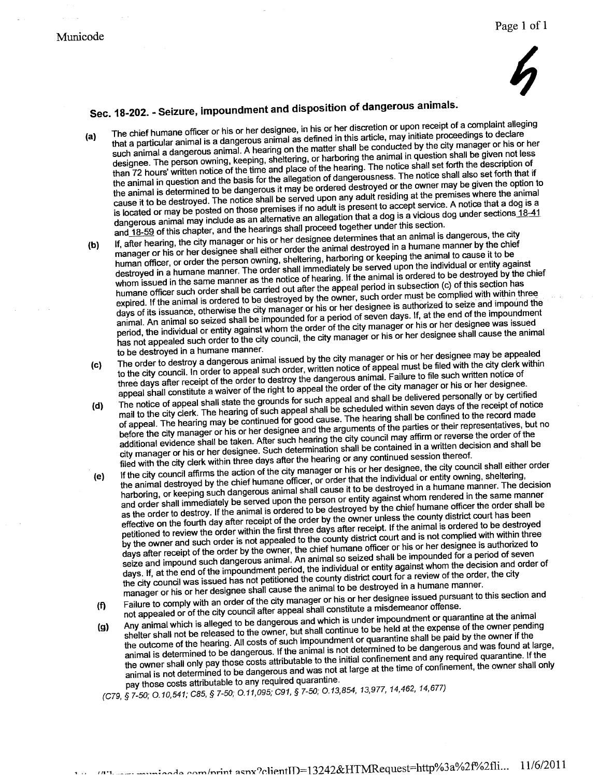## $\bm{\zeta}$

- Sec. 18-202. Seizure, impoundment and disposition of dangerous animals.<br>a) The chief humane officer or his or her designee, in his or her discretion or upon receipt of a complaint alleging (a) The chief numane omicer or rils or rile designed, in this or rid distortion of applitudely of a completion and such animal a dangerous animal. A hearing on the matter shall be conducted by the city manager or his or her designee. The person owning, keeping, sheltering, or harboring the animal in question shall be given not less<br>than 72 hours' written notice of the time and place of the hearing. The notice shall set forth the description o designed. The person notice of the time and place of the hearing. The notice shall set forth the description of the notice shall also set forth that the animal in question and the basis for the allegation of the allegation of the owner may be given the option the animal is determined to be dangerous it may be organized that  $\frac{1}{2}$  and  $\frac{1}{2}$  and  $\frac{1}{2}$  and  $\frac{1}{2}$  and  $\frac{1}{2}$  and  $\frac{1}{2}$  and  $\frac{1}{2}$  and  $\frac{1}{2}$  and  $\frac{1}{2}$  and  $\frac{1}{2}$  and  $\frac{1}{2}$  and cause it to be destroyed. The notice shall be served upon any  $\frac{1}{2}$  and the present to accept service. A notice that a dog is a is located or may be posted on those premises if no adult is present to a vicious dog under sections  $18.4$ dangerous animal may include as an alternative an allegation that a dog is a vicious dog under sections 18-41<br>and 18-59 of this chapter, and the hearings shall proceed together under this section.<br>If, after hearing, the ci and 18-59 of this chapter, and the hearings shall proceed together under this section,
- to) If, after hearing, the city of city manager or his or her designee shall either order the animal destroyed in a humane manner by the chief manager or his or her designee shall either order the animal or keeping or keep human officer, or order the person owning, sheltering, harboring or keeping the animal to cause it to be<br>destroyed in a humane manner. The order shall immediately be served upon the individual or entity against destroyed in a humane manner. The order shall immediately  $\frac{1}{2}$  be animal is ordered to be destroyed by the c whom issued in the same manner as the notice of hearing. If  $\frac{1}{2}$  is ordered to subsection (c) of this section has humane officer such order shall be carried out after the appeal period in subsection (c) of this section has<br>expired. If the animal is ordered to be destroyed by the owner, such order must be complied with within three expired. If the animal is ordered to be destroyed by the order measures is authorized to seize and impound th days of its issuance, otherwise the city manager or the city of seven days. If, at the end of the impoundment animaL. An animal so seized shall be impounded for a period of seven days. If, at the end of the impoundment period, the individual or entity against whom the order of the city manager or his or her designee was issued has not appealed such order to the city council, the city manager or his or her designee shall cause the animal<br>to be destroyed in a humane manner.
- The order to destroy a dangerous animal issued by the city manager or his or her designee may be appealed to the city council. In order to appeal such order, written notice of appeal must be filed with the city council. In order to appeal such order, written notice of three days after receipt of the order to destroy the dangerous animal. Failure to file such written notice of appeal shall constitute a waiver of the right to appeal the order of the city manager or his or her designee.<br>Th appeal shall constitute a waiver of the right to appeal the order of the city manager or his or her designee.
- (d) The notice of appear shall state the ground of each libe scheduled within seven days of the receipt of notice<br>mail to the city clerk. The hearing of such appeal shall be scheduled within seven days of the record made of appeal. The hearing may be continued for good cause. The hearing shall be confined to the record made<br>before the city manager or his or her designee and the arguments of the parties or their representatives, but<br>additio before the city manager or his or her designee and the arguments of the parties or their representatives, but no additional evidence shall be taken. After such hearing the such be contained in a written decision and shall b city manager or his or her designee, Such determination shall be continued session thereof.
- filed with the city clerk within three days after the hearing or any continued session thereof.<br>If the city council affirms the action of the city manager or his or her designee, the city council shall either order (e) If the city council affirms the action or the city manager or his or her designee, the city council shall either order that the individual or entity owning, sheltering, the animal destroyed by the chief humane officer, or order that the destroyed in a humane manner. The d harboring, or keeping such dangerous animal shall cause it to be decided in the same manner. and order shall immediately be served upon the person or entity against whom rendered in the same manner as the order to destroy. If the animal is ordered to be destroyed by the chief humane officer the order shall be effective on the fourth day after receipt of the order by the owner unless the county district court has been petitioned to review the order within the first three days after receipt. If the animal is ordered to be destroyed by the owner and such order is not appealed to the county district court and is not complied with within three<br>days after receipt of the order by the owner, the chief humane officer or his or her designee is authorized to<br> days after receipt of the order by the owner, the chief humane officer or his or her designee is authorized to seize and impound such dangerous animal. An animal so secure a period space served in period of a period of se days. If, at the end of the impoundment period, the must district count for a review of the order, the city the city council was issued has not petitioned the county district court for a review of the order, the city manager or his or her designee shall cause the animal to be destroyed in a humane manner.
- If Failure to comply of the city council after appeal shall constitute a misdemeanor offense.<br>not appealed or of the city council after appeal shall constitute a misgemeanor of quar Failure to comply with an order of the city manager or his or her designee issued pursuant to this section and
- (9) Any animal which is alleged to the owner, but shall continue to be held at the expense of the owner pending<br>shelter shall not be released to the owner, but shall continue to quarantine shall be paid by the owner if the the outcome of the hearing, All costs of such impoundment or quarantine shall be paid by the owner if the animal is determined to be dangerous, If the animal is not determined to be dangerous and was found at large, the owner shall only pay those costs attributable to the initial confinement and any required quarantine, If the animal is not determined to be dangerous and was not at large at the time of confinement, the owner shall only pay those costs attributable to any required quarantine.
- (C79, § 7-50; 0,10,541; C85, § 7-50; 0,11,095; C91, § 7-50; 0,13,854, 13,977, 14,462, 14,677)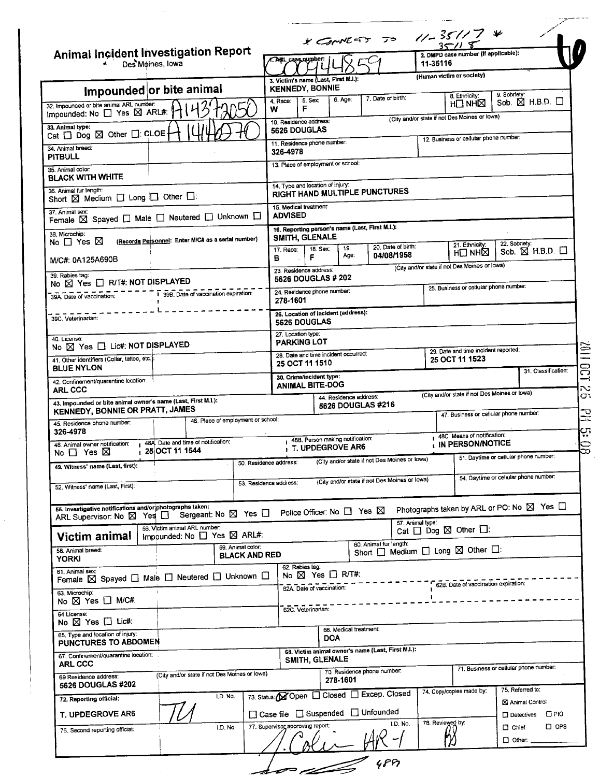|                                                                                                                        |                                                                           |                                           | * CONVEST TO 11-35117 *                                    |                                                        |                                               |                                                     |  |  |  |
|------------------------------------------------------------------------------------------------------------------------|---------------------------------------------------------------------------|-------------------------------------------|------------------------------------------------------------|--------------------------------------------------------|-----------------------------------------------|-----------------------------------------------------|--|--|--|
| <b>Animal Incident Investigation Report</b><br>Des Moines, Iowa                                                        | A. ARL case number:                                                       |                                           | 11-35116                                                   | 2. DMPD case number (if applicable):                   |                                               |                                                     |  |  |  |
|                                                                                                                        | 3. Victim's name (Last, First M.I.):<br><b>KENNEDY, BONNIE</b>            |                                           |                                                            |                                                        | (Human victim or society)                     |                                                     |  |  |  |
| Impounded or bite animal<br>32. Impounded or bite animal ARL number:<br>Impounded: No □ Yes ⊠ ARL#:                    | 5. Sex:<br>4. Race:<br>F<br>w                                             | 6. Age:                                   | 7. Date of birth:                                          |                                                        | 8. Ethnicity:<br>H□NH⊠                        | 9. Sobrietv:<br>Sob. $\boxtimes$ H.B.D. $\square$   |  |  |  |
| 33. Animal type:                                                                                                       | 10. Residence address:<br>5626 DOUGLAS                                    |                                           |                                                            |                                                        | (City and/or state if not Des Moines or lowa) |                                                     |  |  |  |
| Cat $\Box$ Dog $\boxtimes$ Other $\Box$ : CLOE<br>34. Animal breed:                                                    | 11. Residence phone number:<br>326-4978                                   |                                           |                                                            |                                                        | 12. Business or cellular phone number:        |                                                     |  |  |  |
| <b>PITBULL</b><br>35. Animal color:                                                                                    | 13. Place of employment or school:                                        |                                           |                                                            |                                                        |                                               |                                                     |  |  |  |
| <b>BLACK WITH WHITE</b><br>36. Animal fur length:                                                                      | 14. Type and location of injury:                                          |                                           |                                                            |                                                        |                                               |                                                     |  |  |  |
| Short X Medium I Long I Other I:                                                                                       | RIGHT HAND MULTIPLE PUNCTURES<br>15. Medical treatment:                   |                                           |                                                            |                                                        |                                               |                                                     |  |  |  |
| 37. Animal sex:<br>Female $\boxtimes$ Spayed $\square$ Male $\square$ Neutered $\square$ Unknown $\square$             | <b>ADVISED</b>                                                            |                                           |                                                            |                                                        |                                               |                                                     |  |  |  |
| 38. Microchip:<br>(Records Personnel: Enter M/C# as a serial number)<br>No $\Box$ Yes $\boxtimes$                      | 16. Reporting person's name (Last, First M.I.):<br>SMITH, GLENALE         |                                           | 20. Date of birth:                                         |                                                        | 21. Ethnicity:                                | 22. Sobriety:                                       |  |  |  |
| M/C#: 0A125A690B                                                                                                       | 17. Race:<br>F<br>в                                                       | 19.<br>18. Sex:<br>Age:                   | 04/08/1958                                                 |                                                        | H⊟NH⊠                                         | Sob. $\boxtimes$ H.B.D. $\Box$                      |  |  |  |
| 39. Rabies tag:<br>No ⊠ Yes □ R/T#: NOT DISPLAYED                                                                      | 23. Residence address:<br>5626 DOUGLAS # 202                              |                                           |                                                            |                                                        | (City and/or state if not Des Moines or lowa) |                                                     |  |  |  |
| 1 398. Date of vaccination expiration:<br>39A. Date of vaccination:                                                    | 24. Residence phone number.<br>278-1601                                   |                                           |                                                            |                                                        | 25. Business or cellular phone number:        |                                                     |  |  |  |
| 39C. Veterinarian:                                                                                                     | 26. Location of incident (address):<br>5626 DOUGLAS                       |                                           |                                                            |                                                        |                                               |                                                     |  |  |  |
| 40. License:<br>No X Yes I Lic#: NOT DISPLAYED                                                                         |                                                                           | 27. Location type:<br><b>PARKING LOT</b>  |                                                            |                                                        |                                               |                                                     |  |  |  |
| 41. Other identifiers (Collar, tattoo, etc.).                                                                          | 28. Date and time incident occurred:<br><b>25 OCT 11 1510</b>             |                                           |                                                            | 29. Date and time incident reported:<br>25 OCT 11 1523 |                                               |                                                     |  |  |  |
| <b>BLUE NYLON</b><br>42. Confinement/quarantine location:                                                              | 31. Classification:<br>30. Crime/incident type:<br><b>ANIMAL BITE-DOG</b> |                                           |                                                            |                                                        |                                               |                                                     |  |  |  |
| <b>ARL CCC</b><br>43. Impounded or bite animal owner's name (Last, First M.I.):                                        |                                                                           | 44. Residence address:                    |                                                            |                                                        |                                               | (City and/or state if not Des Moines or lowa)       |  |  |  |
| <b>KENNEDY, BONNIE OR PRATT, JAMES</b><br>46. Place of employment or school:                                           |                                                                           | 5626 DOUGLAS #216                         |                                                            |                                                        |                                               | 47. Business or cellular phone number:              |  |  |  |
| 45. Residence phone number:<br>326-4978                                                                                |                                                                           | 488. Person making notification:          |                                                            |                                                        | 48C. Means of notification:                   |                                                     |  |  |  |
| 48A Date and time of notification:<br>48. Animal owner notification:<br>$125$ OCT 11 1544<br>No $\Box$ Yes $\boxtimes$ |                                                                           | T. UPDEGROVE AR6                          | (City and/or state if not Des Moines or lowa)              |                                                        | IN PERSON/NOTICE                              | 51. Daytime or cellular phone number:               |  |  |  |
| 49. Witness' name (Last, first):                                                                                       | 50. Residence address:                                                    |                                           | (City and/or state if not Des Moines or lowa)              |                                                        |                                               | 54. Daytime or cellular phone number:               |  |  |  |
| 52. Witness' name (Last, First):                                                                                       | 53. Residence address:                                                    |                                           |                                                            |                                                        |                                               |                                                     |  |  |  |
|                                                                                                                        |                                                                           |                                           |                                                            |                                                        |                                               |                                                     |  |  |  |
| 55. Investigative notifications and/or photographs taken:                                                              |                                                                           | Police Officer: No $\Box$ Yes $\boxtimes$ |                                                            |                                                        |                                               | Photographs taken by ARL or PO: No ⊠ Yes □          |  |  |  |
| Sergeant: No ⊠ Yes □<br>ARL Supervisor: No $\boxtimes$ Yes $\Box$<br>56. Victim animal ARL number:                     |                                                                           |                                           | 57. Animal type:                                           |                                                        | Cat $\Box$ Dog $\boxtimes$ Other $\Box$ :     |                                                     |  |  |  |
| impounded: No $\square$ Yes $\square$ ARL#:<br>Victim animal<br>59. Animal color:<br>58. Animal breed:                 |                                                                           |                                           | 60. Animal fur length:                                     |                                                        |                                               |                                                     |  |  |  |
| <b>BLACK AND RED</b><br><b>YORKI</b><br>61. Animal sex:                                                                | 62. Rabies tag:                                                           |                                           | Short $\Box$ Medium $\Box$ Long $\boxtimes$ Other $\Box$ : |                                                        |                                               |                                                     |  |  |  |
| Female $\boxtimes$ Spayed $\Box$ Male $\Box$ Neutered $\Box$ Unknown $\Box$                                            | 62A. Date of vaccination:                                                 | No ⊠ Yes □ R/T#:                          |                                                            |                                                        | 62B. Date of vaccination expiration:          |                                                     |  |  |  |
| 63. Microchip:<br>No ⊠ Yes □ M/C#:                                                                                     | 62C. Veterinarian:                                                        |                                           |                                                            |                                                        |                                               |                                                     |  |  |  |
| 64 License:<br>No ⊠ Yes □ Lic#:                                                                                        |                                                                           |                                           |                                                            |                                                        |                                               |                                                     |  |  |  |
| 65. Type and location of injury:<br>PUNCTURES TO ABDOMEN                                                               |                                                                           | 66. Medical treatment:<br><b>DOA</b>      |                                                            |                                                        |                                               |                                                     |  |  |  |
| 67. Confinement/quarantine location:<br><b>ARL CCC</b>                                                                 | SMITH, GLENALE                                                            |                                           | 68. Victim animal owner's name (Last, First M.I.):         |                                                        |                                               |                                                     |  |  |  |
| (City and/or state if not Des Moines or Iowa)<br>69 Residence address:                                                 |                                                                           | 278-1601                                  | 70. Residence phone number.                                |                                                        |                                               | 71. Business or cellular phone number:              |  |  |  |
| 5626 DOUGLAS #202<br>1.D. No.<br>72. Reporting official:                                                               | 73. Status: Open   Closed   Excep. Closed                                 |                                           |                                                            |                                                        | 74. Copy/copies made by:                      | 75. Referred to:<br>X Animal Control                |  |  |  |
| T. UPDEGROVE AR6<br>I.D. No.                                                                                           | □ Case file □ Suspended □ Unfounded<br>77. Supervisor approving report:   |                                           | 1.D. No.                                                   | 78. Reviewed by:                                       |                                               | □ Detectives □ PIO<br>$\square$ OPS<br>$\Box$ Chief |  |  |  |

......

 $\hat{\mathcal{A}}$